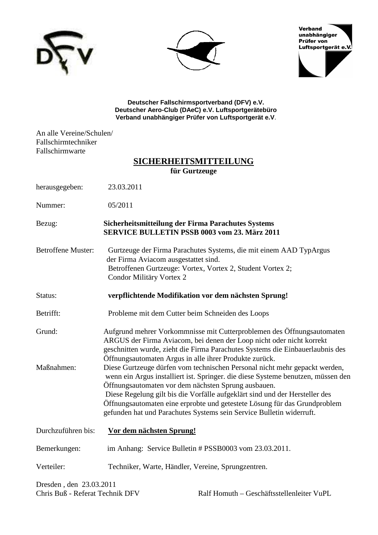





**Deutscher Fallschirmsportverband (DFV) e.V. Deutscher Aero-Club (DAeC) e.V. Luftsportgerätebüro Verband unabhängiger Prüfer von Luftsportgerät e.V**.

An alle Vereine/Schulen/ Fallschirmtechniker Fallschirmwarte

# **SICHERHEITSMITTEILUNG für Gurtzeuge**

herausgegeben: 23.03.2011

Nummer: 05/2011

Bezug: **Sicherheitsmitteilung der Firma Parachutes Systems SERVICE BULLETIN PSSB 0003 vom 23. März 2011** 

Betroffene Muster: Gurtzeuge der Firma Parachutes Systems, die mit einem AAD TypArgus der Firma Aviacom ausgestattet sind. Betroffenen Gurtzeuge: Vortex, Vortex 2, Student Vortex 2; Condor Militäry Vortex 2

Status: **verpflichtende Modifikation vor dem nächsten Sprung!**

Betrifft: Probleme mit dem Cutter beim Schneiden des Loops

Grund: Aufgrund mehrer Vorkommnisse mit Cutterproblemen des Öffnungsautomaten ARGUS der Firma Aviacom, bei denen der Loop nicht oder nicht korrekt geschnitten wurde, zieht die Firma Parachutes Systems die Einbauerlaubnis des Öffnungsautomaten Argus in alle ihrer Produkte zurück. Maßnahmen: Diese Gurtzeuge dürfen vom technischen Personal nicht mehr gepackt werden,

wenn ein Argus installiert ist. Springer. die diese Systeme benutzen, müssen den Öffnungsautomaten vor dem nächsten Sprung ausbauen. Diese Regelung gilt bis die Vorfälle aufgeklärt sind und der Hersteller des Öffnungsautomaten eine erprobte und getestete Lösung für das Grundproblem

gefunden hat und Parachutes Systems sein Service Bulletin widerruft.

Durchzuführen bis: **Vor dem nächsten Sprung!** Bemerkungen: im Anhang: Service Bulletin # PSSB0003 vom 23.03.2011. Verteiler: Techniker, Warte, Händler, Vereine, Sprungzentren.

Dresden , den 23.03.2011

Chris Buß - Referat Technik DFV Ralf Homuth – Geschäftsstellenleiter VuPL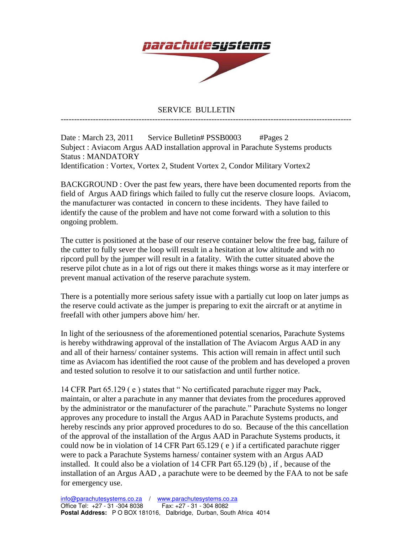

## SERVICE BULLETIN

------------------------------------------------------------------------------------------------------------

Date : March 23, 2011 Service Bulletin# PSSB0003 #Pages 2 Subject : Aviacom Argus AAD installation approval in Parachute Systems products Status : MANDATORY Identification : Vortex, Vortex 2, Student Vortex 2, Condor Military Vortex2

BACKGROUND : Over the past few years, there have been documented reports from the field of Argus AAD firings which failed to fully cut the reserve closure loops. Aviacom, the manufacturer was contacted in concern to these incidents. They have failed to identify the cause of the problem and have not come forward with a solution to this ongoing problem.

The cutter is positioned at the base of our reserve container below the free bag, failure of the cutter to fully sever the loop will result in a hesitation at low altitude and with no ripcord pull by the jumper will result in a fatality. With the cutter situated above the reserve pilot chute as in a lot of rigs out there it makes things worse as it may interfere or prevent manual activation of the reserve parachute system.

There is a potentially more serious safety issue with a partially cut loop on later jumps as the reserve could activate as the jumper is preparing to exit the aircraft or at anytime in freefall with other jumpers above him/ her.

In light of the seriousness of the aforementioned potential scenarios, Parachute Systems is hereby withdrawing approval of the installation of The Aviacom Argus AAD in any and all of their harness/ container systems. This action will remain in affect until such time as Aviacom has identified the root cause of the problem and has developed a proven and tested solution to resolve it to our satisfaction and until further notice.

14 CFR Part 65.129 ( e ) states that " No certificated parachute rigger may Pack, maintain, or alter a parachute in any manner that deviates from the procedures approved by the administrator or the manufacturer of the parachute." Parachute Systems no longer approves any procedure to install the Argus AAD in Parachute Systems products, and hereby rescinds any prior approved procedures to do so. Because of the this cancellation of the approval of the installation of the Argus AAD in Parachute Systems products, it could now be in violation of 14 CFR Part 65.129 ( e ) if a certificated parachute rigger were to pack a Parachute Systems harness/ container system with an Argus AAD installed. It could also be a violation of 14 CFR Part 65.129 (b) , if , because of the installation of an Argus AAD , a parachute were to be deemed by the FAA to not be safe for emergency use.